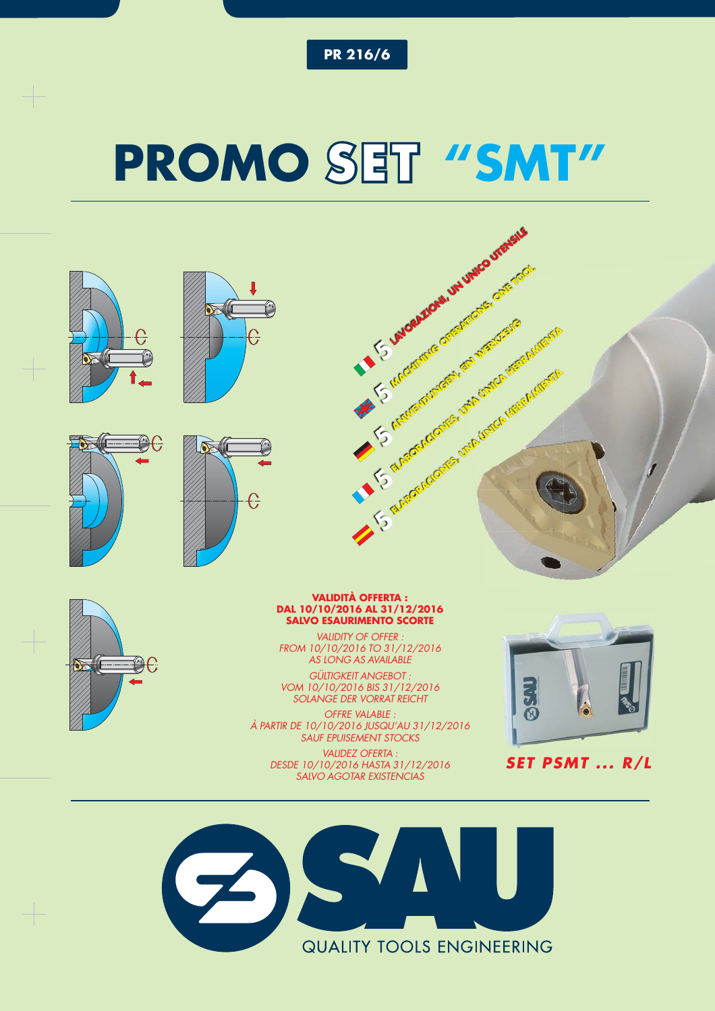**PR 216/6**

## **PROMO SET "SMT"**



*VALIDITY OF OFFER : FROM 10/10/2016 TO 31/12/2016 AS LONG AS AVAILABLE*

£∂€

*GÜLTIGKEIT ANGEBOT : VOM 10/10/2016 BIS 31/12/2016 SOLANGE DER VORRAT REICHT*

*OFFRE VALABLE : À PARTIR DE 10/10/2016 JUSQU'AU 31/12/2016 SAUF EPUISEMENT STOCKS*

*VALIDEZ OFERTA : DESDE 10/10/2016 HASTA 31/12/2016 SALVO AGOTAR EXISTENCIAS*





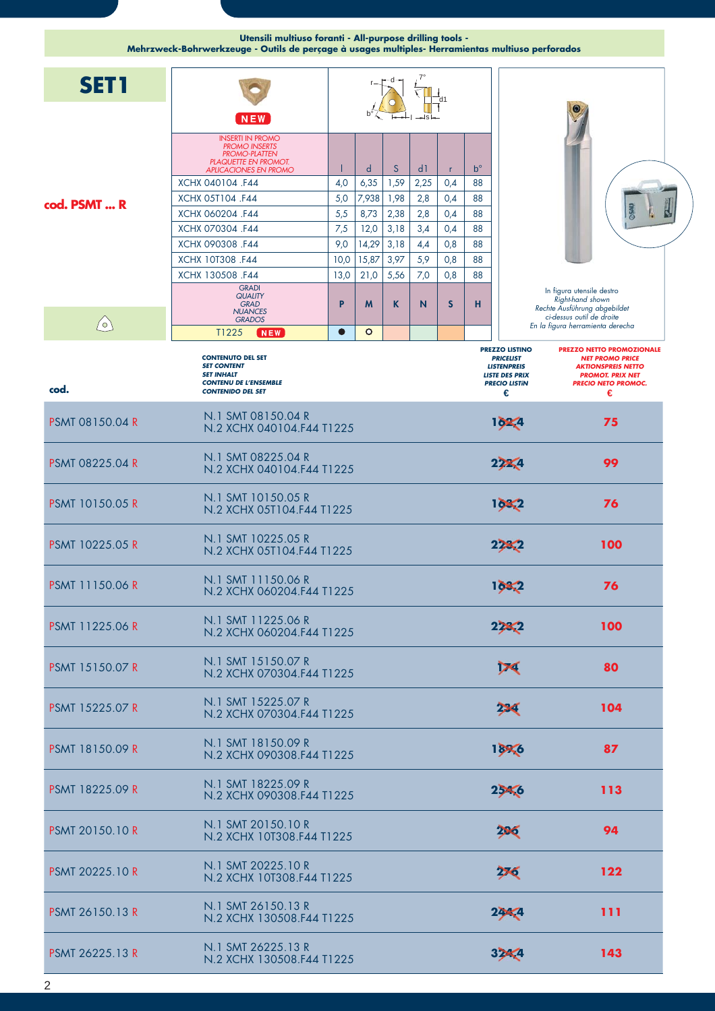|                        | Utensili multiuso foranti - All-purpose drilling tools -<br>Mehrzweck-Bohrwerkzeuge - Outils de perçage à usages multiples- Herramientas multiuso perforados |           |           |           |            |     |                   |                                                                                                                       |                                                                                                                                                       |
|------------------------|--------------------------------------------------------------------------------------------------------------------------------------------------------------|-----------|-----------|-----------|------------|-----|-------------------|-----------------------------------------------------------------------------------------------------------------------|-------------------------------------------------------------------------------------------------------------------------------------------------------|
| <b>SET1</b>            |                                                                                                                                                              |           |           |           |            |     |                   |                                                                                                                       |                                                                                                                                                       |
|                        | <b>NEW</b>                                                                                                                                                   |           |           |           |            |     |                   |                                                                                                                       |                                                                                                                                                       |
|                        | <b>INSERTI IN PROMO</b><br><b>PROMO INSERTS</b><br><b>PROMO-PLATTEN</b><br><b>PLAQUETTE EN PROMOT.</b>                                                       |           |           |           |            |     |                   |                                                                                                                       |                                                                                                                                                       |
|                        | <b>APLICACIONES EN PROMO</b><br>XCHX 040104 .F44                                                                                                             | 4,0       | d<br>6,35 | S<br>1,59 | d1<br>2,25 | 0,4 | $b^{\circ}$<br>88 |                                                                                                                       |                                                                                                                                                       |
|                        | XCHX 05T104 .F44                                                                                                                                             | 5,0       | 7,938     | 1,98      | 2,8        | 0,4 | 88                |                                                                                                                       |                                                                                                                                                       |
| cod. PSMT  R           | XCHX 060204 .F44                                                                                                                                             | 5,5       | 8,73      | 2,38      | 2,8        | 0,4 | 88                |                                                                                                                       |                                                                                                                                                       |
|                        | XCHX 070304 .F44                                                                                                                                             | 7,5       | 12,0      | 3,18      | 3,4        | 0,4 | 88                |                                                                                                                       |                                                                                                                                                       |
|                        | XCHX 090308 .F44                                                                                                                                             | 9,0       | 14,29     | 3,18      | 4,4        | 0,8 | 88                |                                                                                                                       |                                                                                                                                                       |
|                        | XCHX 10T308 .F44                                                                                                                                             | 10,0      | 15,87     | 3,97      | 5,9        | 0,8 | 88                |                                                                                                                       |                                                                                                                                                       |
|                        | XCHX 130508 .F44                                                                                                                                             | 13,0      | 21,0      | 5,56      | 7,0        | 0,8 | 88                |                                                                                                                       |                                                                                                                                                       |
|                        | <b>GRADI</b><br><b>QUALITY</b><br><b>GRAD</b><br><b>NUANCES</b><br><b>GRADOS</b>                                                                             | P         | M         | K         | N          | S   | н                 |                                                                                                                       | In figura utensile destro<br>Right-hand shown<br>Rechte Ausführung abgebildet<br>ci-dessus outil de droite                                            |
| $\bigcirc$             | T1225<br><b>NEW</b>                                                                                                                                          | $\bullet$ | $\circ$   |           |            |     |                   |                                                                                                                       | En la figura herramienta derecha                                                                                                                      |
| cod.                   | <b>CONTENUTO DEL SET</b><br><b>SET CONTENT</b><br><b>SET INHALT</b><br><b>CONTENU DE L'ENSEMBLE</b><br><b>CONTENIDO DEL SET</b>                              |           |           |           |            |     |                   | <b>PREZZO LISTINO</b><br><b>PRICELIST</b><br><b>LISTENPREIS</b><br><b>LISTE DES PRIX</b><br><b>PRECIO LISTÍN</b><br>€ | <b>PREZZO NETTO PROMOZIONALE</b><br><b>NET PROMO PRICE</b><br><b>AKTIONSPREIS NETTO</b><br><b>PROMOT. PRIX NET</b><br><b>PRECIO NETO PROMOC.</b><br>€ |
| <b>PSMT 08150.04 R</b> | N.1 SMT 08150.04 R<br>N.2 XCHX 040104.F44 T1225                                                                                                              |           |           |           |            |     |                   | 162,4                                                                                                                 | 75                                                                                                                                                    |
| <b>PSMT 08225.04 R</b> | N.1 SMT 08225.04 R<br>N.2 XCHX 040104.F44 T1225                                                                                                              |           |           |           |            |     |                   | 222.4                                                                                                                 | 99                                                                                                                                                    |
| <b>PSMT 10150.05 R</b> | N.1 SMT 10150.05 R<br>N.2 XCHX 05T104.F44 T1225                                                                                                              |           |           |           |            |     |                   | 1682                                                                                                                  | 76                                                                                                                                                    |
| <b>PSMT 10225.05 R</b> | N.1 SMT 10225.05 R<br>N.2 XCHX 05T104.F44 T1225                                                                                                              |           |           |           |            |     |                   | 223.2                                                                                                                 | 100                                                                                                                                                   |
| <b>PSMT 11150.06 R</b> | N.1 SMT 11150.06 R<br>N.2 XCHX 060204.F44 T1225                                                                                                              |           |           |           |            |     |                   | 1682                                                                                                                  | 76                                                                                                                                                    |
| <b>PSMT 11225.06 R</b> | N.1 SMT 11225.06 R<br>N.2 XCHX 060204.F44 T1225                                                                                                              |           |           |           |            |     |                   | 228.2                                                                                                                 | 100                                                                                                                                                   |
| <b>PSMT 15150.07 R</b> | N.1 SMT 15150.07 R<br>N.2 XCHX 070304.F44 T1225                                                                                                              |           |           |           |            |     |                   | V <sub>4</sub>                                                                                                        | 80                                                                                                                                                    |
| <b>PSMT 15225.07 R</b> | N.1 SMT 15225.07 R<br>N.2 XCHX 070304.F44 T1225                                                                                                              |           |           |           |            |     |                   | 224                                                                                                                   | 104                                                                                                                                                   |
| <b>PSMT 18150.09 R</b> | N.1 SMT 18150.09 R<br>N.2 XCHX 090308.F44 T1225                                                                                                              |           |           |           |            |     |                   | 1896                                                                                                                  | 87                                                                                                                                                    |
| <b>PSMT 18225.09 R</b> | N.1 SMT 18225.09 R<br>N.2 XCHX 090308.F44 T1225                                                                                                              |           |           |           |            |     |                   | 25 <sub>6</sub>                                                                                                       | 113                                                                                                                                                   |
| <b>PSMT 20150.10 R</b> | N.1 SMT 20150.10 R<br>N.2 XCHX 10T308.F44 T1225                                                                                                              |           |           |           |            |     |                   | 206                                                                                                                   | 94                                                                                                                                                    |
| <b>PSMT 20225.10 R</b> | N.1 SMT 20225.10 R<br>N.2 XCHX 10T308.F44 T1225                                                                                                              |           |           |           |            |     |                   | 276                                                                                                                   | 122                                                                                                                                                   |
| <b>PSMT 26150.13 R</b> | N.1 SMT 26150.13 R<br>N.2 XCHX 130508.F44 T1225                                                                                                              |           |           |           |            |     |                   | 22<4                                                                                                                  | 111                                                                                                                                                   |
| <b>PSMT 26225.13 R</b> | N.1 SMT 26225.13 R<br>N.2 XCHX 130508.F44 T1225                                                                                                              |           |           |           |            |     |                   | 32<4                                                                                                                  | 143                                                                                                                                                   |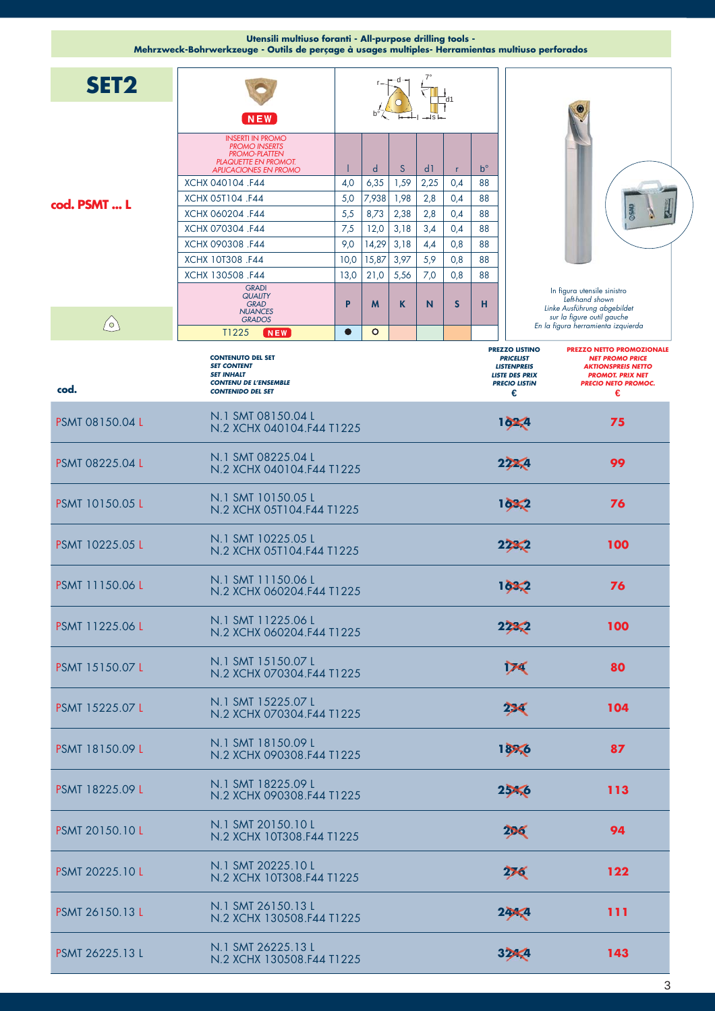|                        | Utensili multiuso foranti - All-purpose drilling tools -<br>Mehrzweck-Bohrwerkzeuge - Outils de perçage à usages multiples- Herramientas multiuso perforados |           |              |      |                |              |             |                                                                                                                       |                                                                                                                                                       |
|------------------------|--------------------------------------------------------------------------------------------------------------------------------------------------------------|-----------|--------------|------|----------------|--------------|-------------|-----------------------------------------------------------------------------------------------------------------------|-------------------------------------------------------------------------------------------------------------------------------------------------------|
| SET <sub>2</sub>       |                                                                                                                                                              |           |              |      |                |              |             |                                                                                                                       |                                                                                                                                                       |
|                        | $N$ EW<br><b>INSERTI IN PROMO</b>                                                                                                                            |           |              |      |                |              |             |                                                                                                                       |                                                                                                                                                       |
|                        | <b>PROMO INSERTS</b><br><b>PROMO-PLATTEN</b><br><b>PLAQUETTE EN PROMOT.</b><br><b>APLICACIONES EN PROMO</b>                                                  |           | $\mathsf{d}$ | S    | d <sub>1</sub> | $\mathsf{r}$ | $b^{\circ}$ |                                                                                                                       |                                                                                                                                                       |
|                        | XCHX 040104 .F44                                                                                                                                             | 4,0       | 6,35         | 1,59 | 2,25           | 0,4          | 88          |                                                                                                                       |                                                                                                                                                       |
| cod. PSMT  L           | XCHX 05T104 .F44                                                                                                                                             | 5,0       | 7,938        | 1,98 | 2,8            | 0,4          | 88          |                                                                                                                       |                                                                                                                                                       |
|                        | XCHX 060204 .F44                                                                                                                                             | 5,5       | 8,73         | 2,38 | 2,8            | 0,4          | 88          |                                                                                                                       |                                                                                                                                                       |
|                        | XCHX 070304 .F44<br>XCHX 090308 .F44                                                                                                                         | 7,5       | 12,0         | 3,18 | 3,4            | 0,4          | 88          |                                                                                                                       |                                                                                                                                                       |
|                        |                                                                                                                                                              | 9,0       | 14,29        | 3,18 | 4,4            | 0,8          | 88          |                                                                                                                       |                                                                                                                                                       |
|                        | XCHX 10T308 .F44                                                                                                                                             | 10,0      | 15,87        | 3,97 | 5,9            | 0,8          | 88          |                                                                                                                       |                                                                                                                                                       |
|                        | XCHX 130508 .F44                                                                                                                                             | 13,0      | 21,0         | 5,56 | 7,0            | 0,8          | 88          |                                                                                                                       |                                                                                                                                                       |
|                        | <b>GRADI</b><br><b>QUALITY</b><br><b>GRAD</b><br><b>NUANCES</b><br><b>GRADOS</b>                                                                             | P         | M            | K    | N              | S            | н           |                                                                                                                       | In figura utensile sinistro<br>Left-hand shown<br>Linke Ausführung abgebildet<br>sur la figure outil gauche                                           |
| $\circlearrowright$    | T1225<br>NEW                                                                                                                                                 | $\bullet$ | $\circ$      |      |                |              |             |                                                                                                                       | En la figura herramienta izquierda                                                                                                                    |
| cod.                   | <b>CONTENUTO DEL SET</b><br><b>SET CONTENT</b><br><b>SET INHALT</b><br><b>CONTENU DE L'ENSEMBLE</b><br><b>CONTENIDO DEL SET</b>                              |           |              |      |                |              |             | <b>PREZZO LISTINO</b><br><b>PRICELIST</b><br><b>LISTENPREIS</b><br><b>LISTE DES PRIX</b><br><b>PRECIO LISTÍN</b><br>€ | <b>PREZZO NETTO PROMOZIONALE</b><br><b>NET PROMO PRICE</b><br><b>AKTIONSPREIS NETTO</b><br><b>PROMOT. PRIX NET</b><br><b>PRECIO NETO PROMOC.</b><br>€ |
| <b>PSMT 08150.04 L</b> | N.1 SMT 08150.04 L<br>N.2 XCHX 040104.F44 T1225                                                                                                              |           |              |      |                |              |             | 162.4                                                                                                                 | 75                                                                                                                                                    |
| PSMT 08225.04 L        | N.1 SMT 08225.04 L<br>N.2 XCHX 040104.F44 T1225                                                                                                              |           |              |      |                |              |             | 222.4                                                                                                                 | 99                                                                                                                                                    |
| <b>PSMT 10150.05 L</b> | N.1 SMT 10150.05 L<br>N.2 XCHX 05T104.F44 T1225                                                                                                              |           |              |      |                |              |             | 1682                                                                                                                  | 76                                                                                                                                                    |
| <b>PSMT 10225.05 L</b> | N.1 SMT 10225.05 L<br>N.2 XCHX 05T104.F44 T1225                                                                                                              |           |              |      |                |              |             | 2233                                                                                                                  | 100                                                                                                                                                   |
| <b>PSMT 11150.06 L</b> | N.1 SMT 11150.06 L<br>N.2 XCHX 060204.F44 T1225                                                                                                              |           |              |      |                |              |             | 1682                                                                                                                  | 76                                                                                                                                                    |
| PSMT 11225.06 L        | N.1 SMT 11225.06 L<br>N.2 XCHX 060204 F44 T1225                                                                                                              |           |              |      |                |              |             | 2282                                                                                                                  | 100                                                                                                                                                   |
| <b>PSMT 15150.07 L</b> | N.1 SMT 15150.07 L<br>N.2 XCHX 070304.F44 T1225                                                                                                              |           |              |      |                |              |             | ÞС                                                                                                                    | 80                                                                                                                                                    |
| PSMT 15225.07 L        | N.1 SMT 15225.07 L<br>N.2 XCHX 070304.F44 T1225                                                                                                              |           |              |      |                |              |             | 22 <sup>4</sup>                                                                                                       | 104                                                                                                                                                   |
| <b>PSMT 18150.09 L</b> | N.1 SMT 18150.09 L<br>N.2 XCHX 090308.F44 T1225                                                                                                              |           |              |      |                |              |             | 1886                                                                                                                  | 87                                                                                                                                                    |
| PSMT 18225.09 L        | N.1 SMT 18225.09 L<br>N.2 XCHX 090308.F44 T1225                                                                                                              |           |              |      |                |              |             | $25 - 6$                                                                                                              | 113                                                                                                                                                   |
| <b>PSMT 20150.10 L</b> | N.1 SMT 20150.10 L<br>N.2 XCHX 10T308.F44 T1225                                                                                                              |           |              |      |                |              |             | 206                                                                                                                   | 94                                                                                                                                                    |
| <b>PSMT 20225.10 L</b> | N.1 SMT 20225.10 L<br>N.2 XCHX 10T308.F44 T1225                                                                                                              |           |              |      |                |              |             | 276                                                                                                                   | 122                                                                                                                                                   |
| PSMT 26150.13 L        | N.1 SMT 26150.13 L<br>N.2 XCHX 130508.F44 T1225                                                                                                              |           |              |      |                |              |             | 24/4                                                                                                                  | 111                                                                                                                                                   |
| PSMT 26225.13 L        | N.1 SMT 26225.13 L<br>N.2 XCHX 130508.F44 T1225                                                                                                              |           |              |      |                |              |             | 32/4                                                                                                                  | 143                                                                                                                                                   |